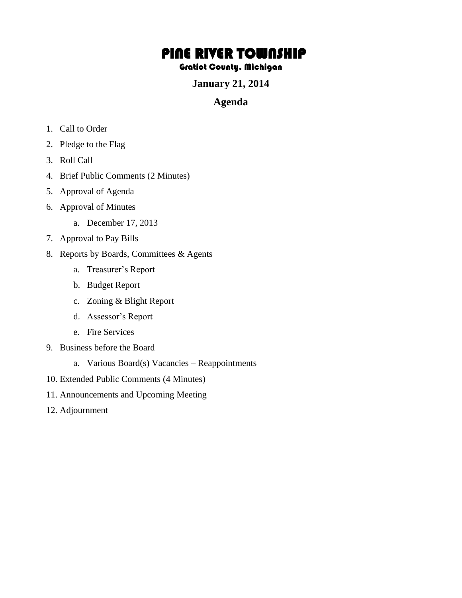## PINE RIVER TOWNSHIP

## Gratiot County, Michigan

**January 21, 2014** 

## **Agenda**

- 1. Call to Order
- 2. Pledge to the Flag
- 3. Roll Call
- 4. Brief Public Comments (2 Minutes)
- 5. Approval of Agenda
- 6. Approval of Minutes
	- a. December 17, 2013
- 7. Approval to Pay Bills
- 8. Reports by Boards, Committees & Agents
	- a. Treasurer's Report
	- b. Budget Report
	- c. Zoning & Blight Report
	- d. Assessor's Report
	- e. Fire Services
- 9. Business before the Board
	- a. Various Board(s) Vacancies Reappointments
- 10. Extended Public Comments (4 Minutes)
- 11. Announcements and Upcoming Meeting
- 12. Adjournment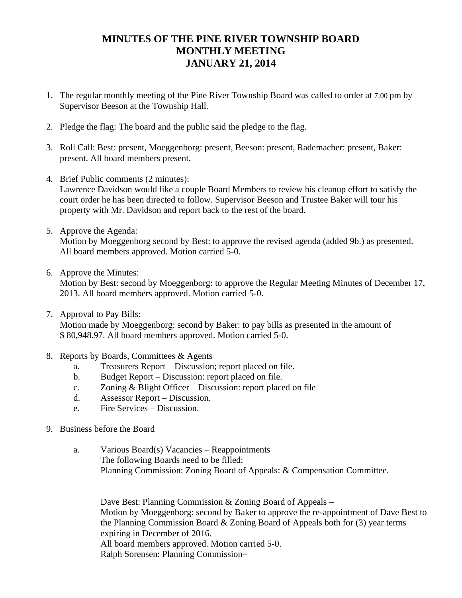## **MINUTES OF THE PINE RIVER TOWNSHIP BOARD MONTHLY MEETING JANUARY 21, 2014**

- 1. The regular monthly meeting of the Pine River Township Board was called to order at 7:00 pm by Supervisor Beeson at the Township Hall.
- 2. Pledge the flag: The board and the public said the pledge to the flag.
- 3. Roll Call: Best: present, Moeggenborg: present, Beeson: present, Rademacher: present, Baker: present. All board members present.
- 4. Brief Public comments (2 minutes): Lawrence Davidson would like a couple Board Members to review his cleanup effort to satisfy the court order he has been directed to follow. Supervisor Beeson and Trustee Baker will tour his property with Mr. Davidson and report back to the rest of the board.
- 5. Approve the Agenda:

Motion by Moeggenborg second by Best: to approve the revised agenda (added 9b.) as presented. All board members approved. Motion carried 5-0.

6. Approve the Minutes:

Motion by Best: second by Moeggenborg: to approve the Regular Meeting Minutes of December 17, 2013. All board members approved. Motion carried 5-0.

7. Approval to Pay Bills:

Motion made by Moeggenborg: second by Baker: to pay bills as presented in the amount of \$ 80,948.97. All board members approved. Motion carried 5-0.

- 8. Reports by Boards, Committees & Agents
	- a. Treasurers Report Discussion; report placed on file.
	- b. Budget Report Discussion: report placed on file.
	- c. Zoning & Blight Officer Discussion: report placed on file
	- d. Assessor Report Discussion.
	- e. Fire Services Discussion.
- 9. Business before the Board
	- a. Various Board(s) Vacancies Reappointments The following Boards need to be filled: Planning Commission: Zoning Board of Appeals: & Compensation Committee.

Dave Best: Planning Commission & Zoning Board of Appeals – Motion by Moeggenborg: second by Baker to approve the re-appointment of Dave Best to the Planning Commission Board & Zoning Board of Appeals both for (3) year terms expiring in December of 2016. All board members approved. Motion carried 5-0. Ralph Sorensen: Planning Commission–